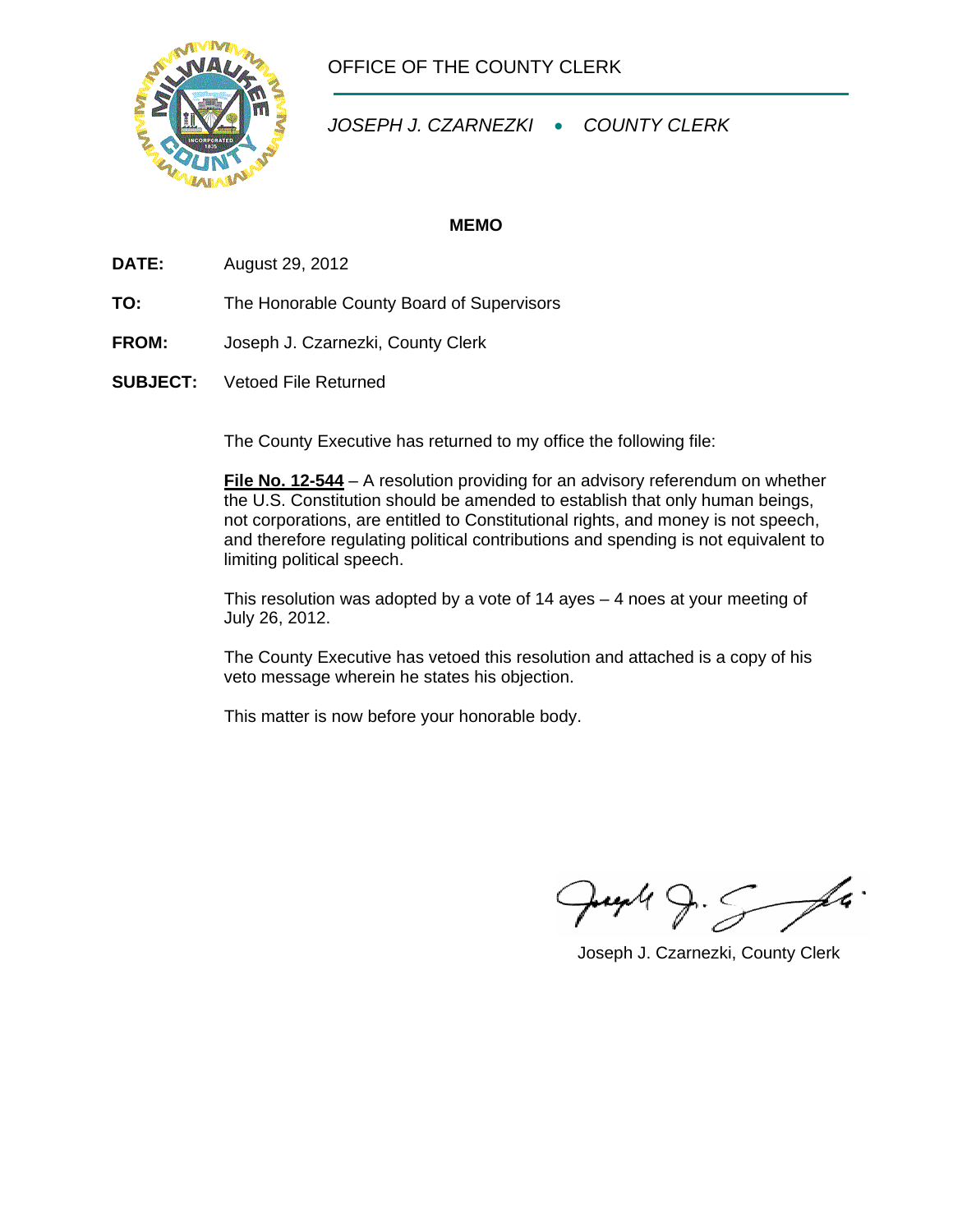

OFFICE OF THE COUNTY CLERK

*JOSEPH J. CZARNEZKI* • *COUNTY CLERK* 

## **MEMO**

**DATE:** August 29, 2012

- **TO:** The Honorable County Board of Supervisors
- **FROM:** Joseph J. Czarnezki, County Clerk
- **SUBJECT:** Vetoed File Returned

The County Executive has returned to my office the following file:

**File No. 12-544** – A resolution providing for an advisory referendum on whether the U.S. Constitution should be amended to establish that only human beings, not corporations, are entitled to Constitutional rights, and money is not speech, and therefore regulating political contributions and spending is not equivalent to limiting political speech.

 This resolution was adopted by a vote of 14 ayes – 4 noes at your meeting of July 26, 2012.

 The County Executive has vetoed this resolution and attached is a copy of his veto message wherein he states his objection.

This matter is now before your honorable body.

 $P$ ung 4  $S$  fa

Joseph J. Czarnezki, County Clerk